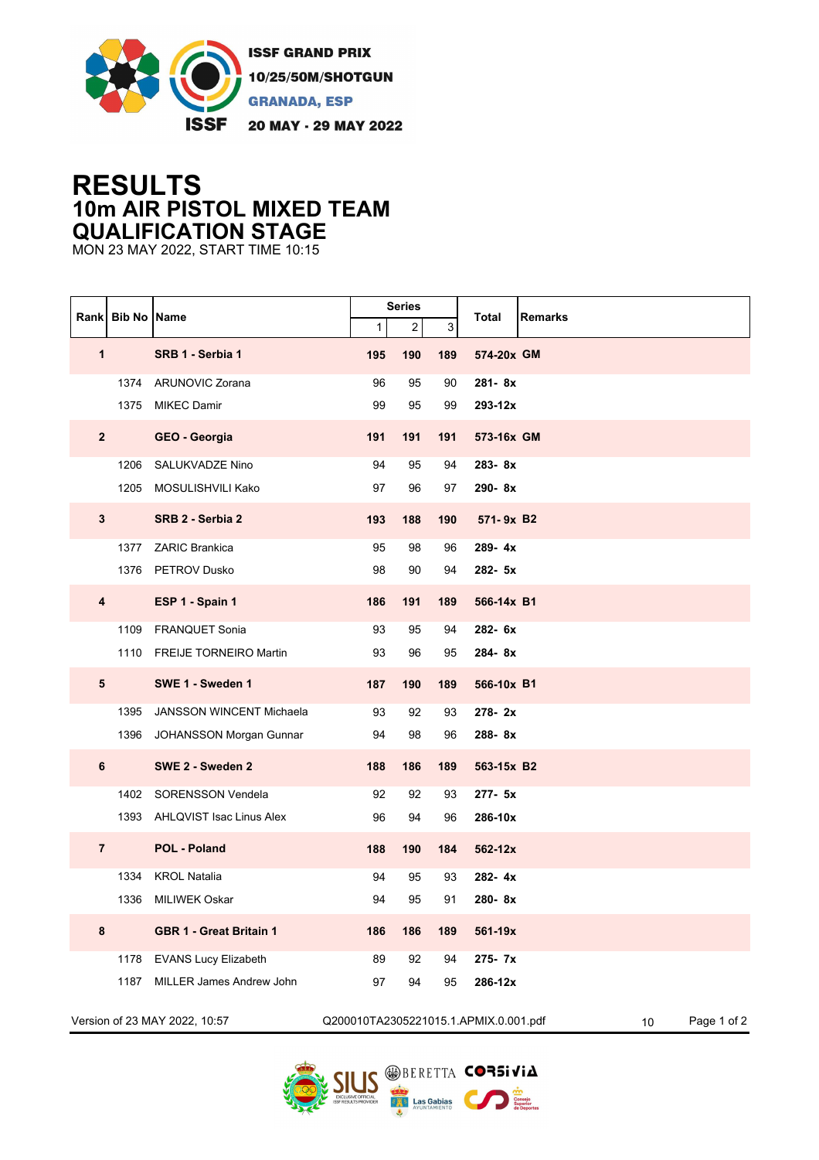

## **RESULTS 10m AIR PISTOL MIXED TEAM QUALIFICATION STAGE**

MON 23 MAY 2022, START TIME 10:15

| Rank                          | <b>Bib No Name</b> |                                 |     | <b>Series</b>           |                                       | Remarks         |             |  |
|-------------------------------|--------------------|---------------------------------|-----|-------------------------|---------------------------------------|-----------------|-------------|--|
|                               |                    |                                 | 1   | $\overline{\mathbf{c}}$ | 3                                     | Total           |             |  |
| 1                             |                    | SRB 1 - Serbia 1                | 195 | 190                     | 189                                   | 574-20x GM      |             |  |
|                               | 1374               | <b>ARUNOVIC Zorana</b>          | 96  | 95                      | 90                                    | 281-8x          |             |  |
|                               | 1375               | <b>MIKEC Damir</b>              | 99  | 95                      | 99                                    | 293-12x         |             |  |
| $\overline{2}$                |                    | GEO - Georgia                   | 191 | 191                     | 191                                   | 573-16x GM      |             |  |
|                               | 1206               | <b>SALUKVADZE Nino</b>          | 94  | 95                      | 94                                    | 283-8x          |             |  |
|                               | 1205               | MOSULISHVILI Kako               | 97  | 96                      | 97                                    | 290-8x          |             |  |
| $\mathbf{3}$                  |                    | SRB 2 - Serbia 2                | 193 | 188                     | 190                                   | 571-9x B2       |             |  |
|                               | 1377               | <b>ZARIC Brankica</b>           | 95  | 98                      | 96                                    | 289-4x          |             |  |
|                               |                    | 1376 PETROV Dusko               | 98  | 90                      | 94                                    | 282- 5x         |             |  |
| 4                             |                    | ESP 1 - Spain 1                 | 186 | 191                     | 189                                   | 566-14x B1      |             |  |
|                               | 1109               | <b>FRANQUET Sonia</b>           | 93  | 95                      | 94                                    | 282- 6x         |             |  |
|                               |                    | 1110 FREIJE TORNEIRO Martin     | 93  | 96                      | 95                                    | 284-8x          |             |  |
| ${\bf 5}$                     |                    | SWE 1 - Sweden 1                | 187 | 190                     | 189                                   | 566-10x B1      |             |  |
|                               | 1395               | <b>JANSSON WINCENT Michaela</b> | 93  | 92                      | 93                                    | 278-2x          |             |  |
|                               |                    | 1396 JOHANSSON Morgan Gunnar    | 94  | 98                      | 96                                    | 288-8x          |             |  |
| 6                             |                    | SWE 2 - Sweden 2                | 188 | 186                     | 189                                   | 563-15x B2      |             |  |
|                               | 1402               | <b>SORENSSON Vendela</b>        | 92  | 92                      | 93                                    | 277- 5x         |             |  |
|                               |                    | 1393 AHLQVIST Isac Linus Alex   | 96  | 94                      | 96                                    | 286-10x         |             |  |
| $\overline{7}$                |                    | <b>POL - Poland</b>             | 188 | 190                     | 184                                   | 562-12x         |             |  |
|                               | 1334               | <b>KROL Natalia</b>             | 94  | 95                      | 93                                    | $282 - 4x$      |             |  |
|                               | 1336               | <b>MILIWEK Oskar</b>            | 94  | 95                      | 91                                    | 280-8x          |             |  |
| 8                             |                    | <b>GBR 1 - Great Britain 1</b>  | 186 | 186                     | 189                                   | 561-19x         |             |  |
|                               | 1178               | <b>EVANS Lucy Elizabeth</b>     | 89  | 92                      | 94                                    | 275-7x          |             |  |
|                               | 1187               | <b>MILLER James Andrew John</b> | 97  | 94                      | 95                                    | 286-12x         |             |  |
| Version of 23 MAY 2022, 10:57 |                    |                                 |     |                         | Q200010TA2305221015.1.APMIX.0.001.pdf | 10 <sup>°</sup> | Page 1 of 2 |  |